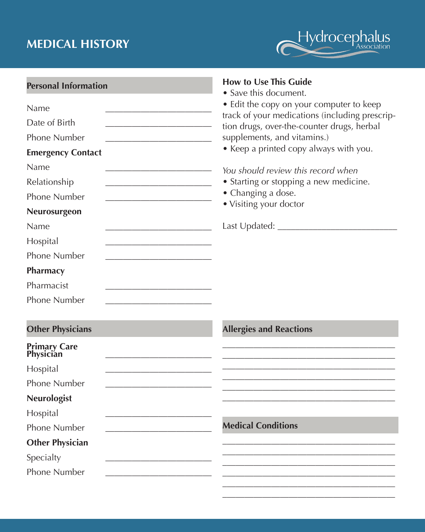## **MEDICAL HISTORY**



\_\_\_\_\_\_\_\_\_\_\_\_\_\_\_\_\_\_\_\_\_\_\_\_\_\_\_\_\_\_\_\_\_\_\_\_\_\_\_

| <b>Personal Information</b>                                                                       | <b>How to Use This Guide</b><br>• Save this document.                                        |  |  |  |  |  |
|---------------------------------------------------------------------------------------------------|----------------------------------------------------------------------------------------------|--|--|--|--|--|
| Name                                                                                              | • Edit the copy on your computer to keep                                                     |  |  |  |  |  |
| Date of Birth                                                                                     | track of your medications (including prescrip-<br>tion drugs, over-the-counter drugs, herbal |  |  |  |  |  |
| <b>Phone Number</b>                                                                               | supplements, and vitamins.)                                                                  |  |  |  |  |  |
| <b>Emergency Contact</b>                                                                          | • Keep a printed copy always with you.<br>You should review this record when                 |  |  |  |  |  |
| Name                                                                                              |                                                                                              |  |  |  |  |  |
| Relationship                                                                                      | • Starting or stopping a new medicine.                                                       |  |  |  |  |  |
| <b>Phone Number</b>                                                                               | • Changing a dose.                                                                           |  |  |  |  |  |
| Neurosurgeon                                                                                      | · Visiting your doctor                                                                       |  |  |  |  |  |
| Name                                                                                              |                                                                                              |  |  |  |  |  |
| Hospital                                                                                          |                                                                                              |  |  |  |  |  |
| <b>Phone Number</b><br>the control of the control of the control of the control of the control of |                                                                                              |  |  |  |  |  |
| Pharmacy                                                                                          |                                                                                              |  |  |  |  |  |
| Pharmacist                                                                                        |                                                                                              |  |  |  |  |  |
| Phone Number                                                                                      |                                                                                              |  |  |  |  |  |
| <b>Other Physicians</b>                                                                           | <b>Allergies and Reactions</b>                                                               |  |  |  |  |  |
| <b>Primary Care<br/>Physician</b>                                                                 |                                                                                              |  |  |  |  |  |
| Hospital                                                                                          |                                                                                              |  |  |  |  |  |
| <b>Phone Number</b>                                                                               |                                                                                              |  |  |  |  |  |
| <b>Neurologist</b>                                                                                |                                                                                              |  |  |  |  |  |
| Hospital                                                                                          |                                                                                              |  |  |  |  |  |
| <b>Phone Number</b>                                                                               | <b>Medical Conditions</b>                                                                    |  |  |  |  |  |
| <b>Other Physician</b>                                                                            |                                                                                              |  |  |  |  |  |
| Specialty                                                                                         |                                                                                              |  |  |  |  |  |
| <b>Phone Number</b>                                                                               |                                                                                              |  |  |  |  |  |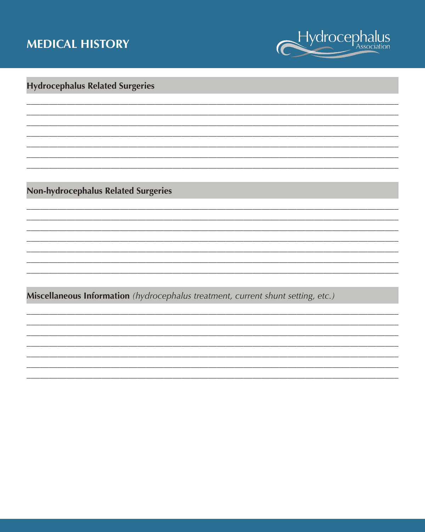## **MEDICAL HISTORY**



## **Hydrocephalus Related Surgeries**

Non-hydrocephalus Related Surgeries

Miscellaneous Information (hydrocephalus treatment, current shunt setting, etc.)